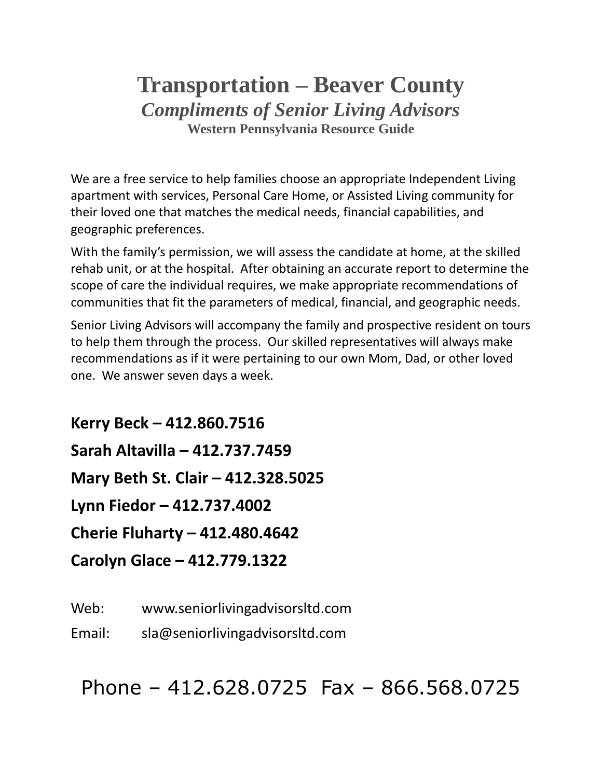## **Transportation – Beaver County** *Compliments of Senior Living Advisors* **Western Pennsylvania Resource Guide**

We are a free service to help families choose an appropriate Independent Living apartment with services, Personal Care Home, or Assisted Living community for their loved one that matches the medical needs, financial capabilities, and geographic preferences.

With the family's permission, we will assess the candidate at home, at the skilled rehab unit, or at the hospital. After obtaining an accurate report to determine the scope of care the individual requires, we make appropriate recommendations of communities that fit the parameters of medical, financial, and geographic needs.

Senior Living Advisors will accompany the family and prospective resident on tours to help them through the process. Our skilled representatives will always make recommendations as if it were pertaining to our own Mom, Dad, or other loved one. We answer seven days a week.

**Kerry Beck – 412.860.7516 Sarah Altavilla – 412.737.7459 Mary Beth St. Clair – 412.328.5025 Lynn Fiedor – 412.737.4002 Cherie Fluharty – 412.480.4642 Carolyn Glace – 412.779.1322**

Web: www.seniorlivingadvisorsltd.com

Email: sla@seniorlivingadvisorsltd.com

Phone – 412.628.0725 Fax – 866.568.0725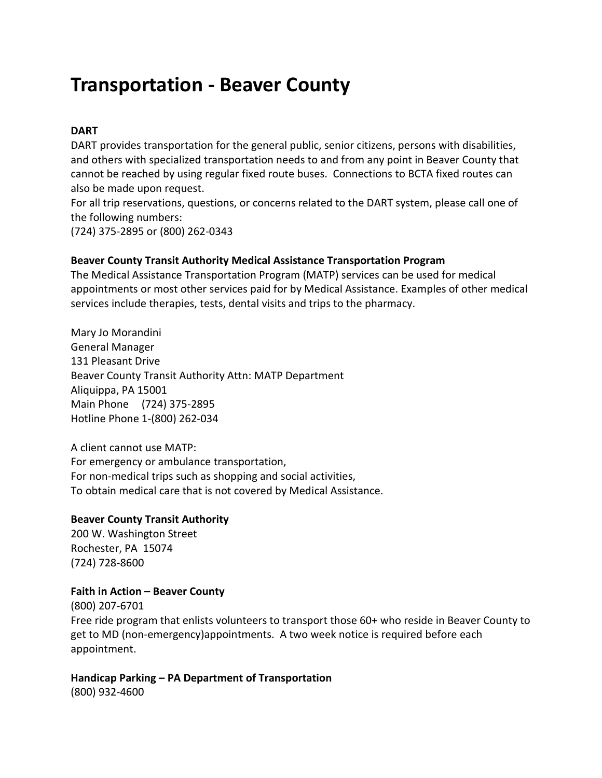# **Transportation - Beaver County**

#### **DART**

DART provides transportation for the general public, senior citizens, persons with disabilities, and others with specialized transportation needs to and from any point in Beaver County that cannot be reached by using regular fixed route buses. Connections to BCTA fixed routes can also be made upon request.

For all trip reservations, questions, or concerns related to the DART system, please call one of the following numbers:

(724) 375-2895 or (800) 262-0343

#### **Beaver County Transit Authority Medical Assistance Transportation Program**

The Medical Assistance Transportation Program (MATP) services can be used for medical appointments or most other services paid for by Medical Assistance. Examples of other medical services include therapies, tests, dental visits and trips to the pharmacy.

Mary Jo Morandini General Manager 131 Pleasant Drive Beaver County Transit Authority Attn: MATP Department Aliquippa, PA 15001 Main Phone (724) 375-2895 Hotline Phone 1-(800) 262-034

A client cannot use MATP: For emergency or ambulance transportation, For non-medical trips such as shopping and social activities, To obtain medical care that is not covered by Medical Assistance.

#### **Beaver County Transit Authority**

200 W. Washington Street Rochester, PA 15074 (724) 728-8600

#### **Faith in Action – Beaver County**

(800) 207-6701 Free ride program that enlists volunteers to transport those 60+ who reside in Beaver County to get to MD (non-emergency)appointments. A two week notice is required before each appointment.

## **Handicap Parking – PA Department of Transportation**

(800) 932-4600